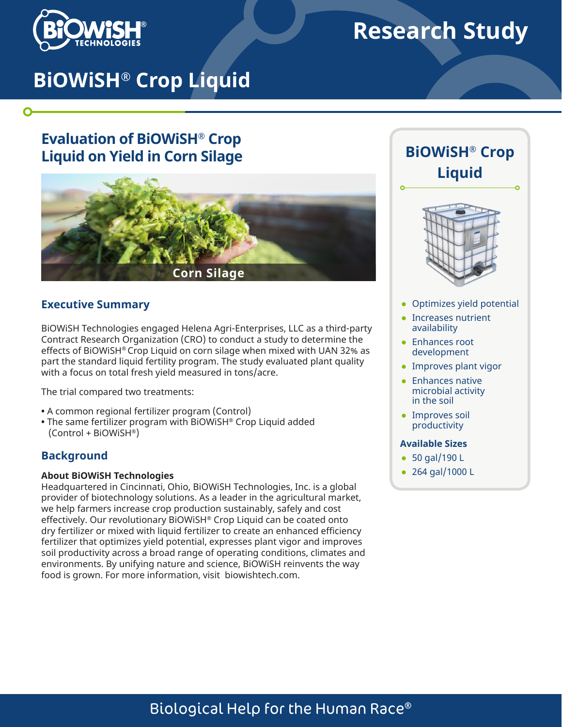

# **Research Study**

# **BiOWiSH® Crop Liquid**

## **Evaluation of BiOWiSH® Crop Liquid on Yield in Corn Silage**



#### **Executive Summary**

BiOWiSH Technologies engaged Helena Agri-Enterprises, LLC as a third-party Contract Research Organization (CRO) to conduct a study to determine the effects of BiOWiSH® Crop Liquid on corn silage when mixed with UAN 32% as part the standard liquid fertility program. The study evaluated plant quality with a focus on total fresh yield measured in tons/acre.

The trial compared two treatments:

- A common regional fertilizer program (Control)
- The same fertilizer program with BiOWiSH® Crop Liquid added (Control + BiOWiSH®)

#### **Background**

#### **About BiOWiSH Technologies**

Headquartered in Cincinnati, Ohio, BiOWiSH Technologies, Inc. is a global provider of biotechnology solutions. As a leader in the agricultural market, we help farmers increase crop production sustainably, safely and cost effectively. Our revolutionary BiOWiSH® Crop Liquid can be coated onto dry fertilizer or mixed with liquid fertilizer to create an enhanced efficiency fertilizer that optimizes yield potential, expresses plant vigor and improves soil productivity across a broad range of operating conditions, climates and environments. By unifying nature and science, BiOWiSH reinvents the way food is grown. For more information, visit biowishtech.com.





- Optimizes yield potential
- Increases nutrient availability
- Enhances root development
- Improves plant vigor
- Enhances native microbial activity in the soil
- Improves soil productivity

#### **Available Sizes**

- 50 gal/190 L
- 264 gal/1000 L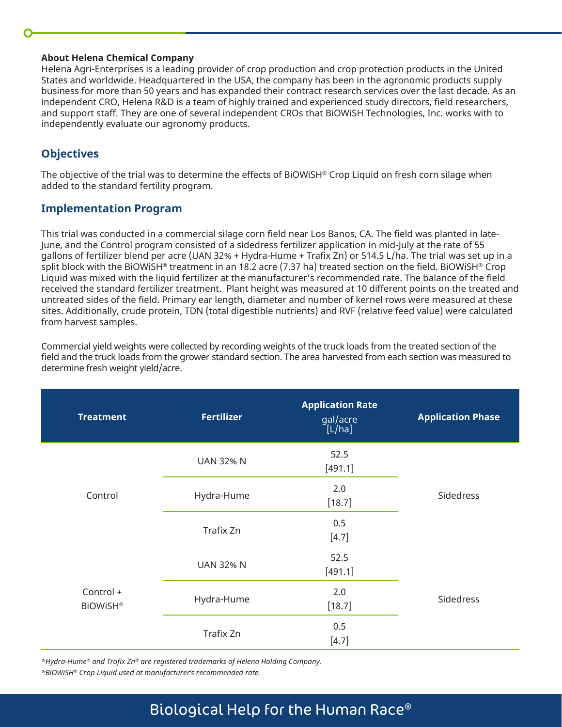#### **About Helena Chemical Company**

Helena Agri-Enterprises is a leading provider of crop production and crop protection products in the United States and worldwide. Headquartered in the USA, the company has been in the agronomic products supply business for more than 50 years and has expanded their contract research services over the last decade. As an independent CRO, Helena R&D is a team of highly trained and experienced study directors, field researchers, and support staff. They are one of several independent CROs that BiOWiSH Technologies, Inc. works with to independently evaluate our agronomy products.

## **Objectives**

The objective of the trial was to determine the effects of BiOWiSH® Crop Liquid on fresh corn silage when added to the standard fertility program.

### **Implementation Program**

This trial was conducted in a commercial silage corn field near Los Banos, CA. The field was planted in late-June, and the Control program consisted of a sidedress fertilizer application in mid-July at the rate of 55 gallons of fertilizer blend per acre (UAN 32% + Hydra-Hume + Trafix Zn) or 514.5 L/ha. The trial was set up in a split block with the BiOWiSH® treatment in an 18.2 acre (7.37 ha) treated section on the field. BiOWiSH® Crop Liquid was mixed with the liquid fertilizer at the manufacturer's recommended rate. The balance of the field received the standard fertilizer treatment. Plant height was measured at 10 different points on the treated and untreated sides of the field. Primary ear length, diameter and number of kernel rows were measured at these sites. Additionally, crude protein, TDN (total digestible nutrients) and RVF (relative feed value) were calculated from harvest samples.

Commercial yield weights were collected by recording weights of the truck loads from the treated section of the field and the truck loads from the grower standard section. The area harvested from each section was measured to determine fresh weight yield/acre.

| <b>Treatment</b>             | <b>Fertilizer</b>           | <b>Application Rate</b><br>gal/acre<br>[L/ha] | <b>Application Phase</b> |  |
|------------------------------|-----------------------------|-----------------------------------------------|--------------------------|--|
| Control                      | <b>UAN 32% N</b>            | 52.5<br>[491.1]                               |                          |  |
|                              | 2.0<br>Hydra-Hume<br>[18.7] |                                               | Sidedress                |  |
|                              | 0.5<br>Trafix Zn<br>$[4.7]$ |                                               |                          |  |
| Control +<br><b>BiOWiSH®</b> | <b>UAN 32% N</b>            | 52.5<br>[491.1]                               | Sidedress                |  |
|                              | Hydra-Hume                  | 2.0<br>[18.7]                                 |                          |  |
|                              | Trafix Zn                   | 0.5<br>$[4.7]$                                |                          |  |

*\*Hydra-Hume® and Trafix Zn® are registered trademarks of Helena Holding Company.*

*\*BiOWiSH® Crop Liquid used at manufacturer's recommended rate.*

# Biological Help for the Human Race®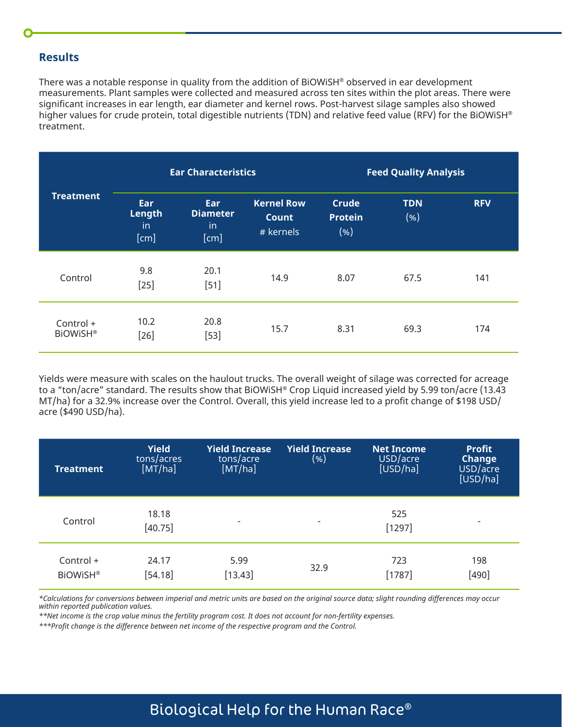### **Results**

There was a notable response in quality from the addition of BiOWiSH® observed in ear development measurements. Plant samples were collected and measured across ten sites within the plot areas. There were significant increases in ear length, ear diameter and kernel rows. Post-harvest silage samples also showed higher values for crude protein, total digestible nutrients (TDN) and relative feed value (RFV) for the BiOWiSH® treatment.

| <b>Treatment</b>             | <b>Ear Characteristics</b>         |                                      |                                                | <b>Feed Quality Analysis</b>    |                    |            |
|------------------------------|------------------------------------|--------------------------------------|------------------------------------------------|---------------------------------|--------------------|------------|
|                              | <b>Ear</b><br>Length<br>in<br>[cm] | Ear<br><b>Diameter</b><br>in<br>[cm] | <b>Kernel Row</b><br><b>Count</b><br># kernels | <b>Crude</b><br>Protein<br>( %) | <b>TDN</b><br>(% ) | <b>RFV</b> |
| Control                      | 9.8<br>$[25]$                      | 20.1<br>$[51]$                       | 14.9                                           | 8.07                            | 67.5               | 141        |
| Control +<br><b>BiOWiSH®</b> | 10.2<br>$[26]$                     | 20.8<br>$[53]$                       | 15.7                                           | 8.31                            | 69.3               | 174        |

Yields were measure with scales on the haulout trucks. The overall weight of silage was corrected for acreage to a "ton/acre" standard. The results show that BiOWiSH® Crop Liquid increased yield by 5.99 ton/acre (13.43 MT/ha) for a 32.9% increase over the Control. Overall, this yield increase led to a profit change of \$198 USD/ acre (\$490 USD/ha).

| <b>Treatment</b>             | <b>Yield</b><br>tons/acres<br>[MT/ha] | <b>Yield Increase</b><br>tons/acre<br>[MT/ha] | <b>Yield Increase</b><br>(%) | <b>Net Income</b><br>USD/acre<br>[USD/ha] | <b>Profit</b><br>Change<br>USD/acre<br>[USD/ha] |
|------------------------------|---------------------------------------|-----------------------------------------------|------------------------------|-------------------------------------------|-------------------------------------------------|
| Control                      | 18.18<br>[40.75]                      | $\overline{\phantom{a}}$                      | $\overline{\phantom{a}}$     | 525<br>$[1297]$                           | $\overline{\phantom{a}}$                        |
| Control +<br><b>BiOWiSH®</b> | 24.17<br>[54.18]                      | 5.99<br>[13.43]                               | 32.9                         | 723<br>$[1787]$                           | 198<br>$[490]$                                  |

*\*Calculations for conversions between imperial and metric units are based on the original source data; slight rounding differences may occur within reported publication values.*

*\*\*Net income is the crop value minus the fertility program cost. It does not account for non-fertility expenses.*

*\*\*\*Profit change is the difference between net income of the respective program and the Control.* 

# Biological Help for the Human Race®